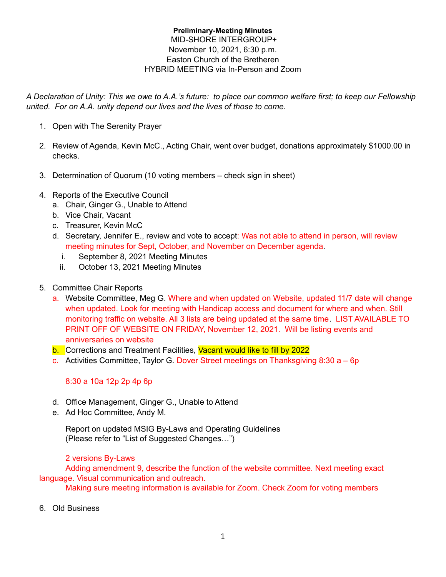## **Preliminary-Meeting Minutes** MID-SHORE INTERGROUP+ November 10, 2021, 6:30 p.m. Easton Church of the Bretheren HYBRID MEETING via In-Person and Zoom

A Declaration of Unity: This we owe to A.A.'s future: to place our common welfare first; to keep our Fellowship *united. For on A.A. unity depend our lives and the lives of those to come.*

- 1. Open with The Serenity Prayer
- 2. Review of Agenda, Kevin McC., Acting Chair, went over budget, donations approximately \$1000.00 in checks.
- 3. Determination of Quorum (10 voting members check sign in sheet)
- 4. Reports of the Executive Council
	- a. Chair, Ginger G., Unable to Attend
	- b. Vice Chair, Vacant
	- c. Treasurer, Kevin McC
	- d. Secretary, Jennifer E., review and vote to accept: Was not able to attend in person, will review meeting minutes for Sept, October, and November on December agenda.
		- i. September 8, 2021 Meeting Minutes
		- ii. October 13, 2021 Meeting Minutes
- 5. Committee Chair Reports
	- a. Website Committee, Meg G. Where and when updated on Website, updated 11/7 date will change when updated. Look for meeting with Handicap access and document for where and when. Still monitoring traffic on website. All 3 lists are being updated at the same time. LIST AVAILABLE TO PRINT OFF OF WEBSITE ON FRIDAY, November 12, 2021. Will be listing events and anniversaries on website
	- b. Corrections and Treatment Facilities, Vacant would like to fill by 2022
	- c. Activities Committee, Taylor G. Dover Street meetings on Thanksgiving 8:30  $a 6p$

## 8:30 a 10a 12p 2p 4p 6p

- d. Office Management, Ginger G., Unable to Attend
- e. Ad Hoc Committee, Andy M.

Report on updated MSIG By-Laws and Operating Guidelines (Please refer to "List of Suggested Changes…")

## 2 versions By-Laws

Adding amendment 9, describe the function of the website committee. Next meeting exact language. Visual communication and outreach.

Making sure meeting information is available for Zoom. Check Zoom for voting members

6. Old Business